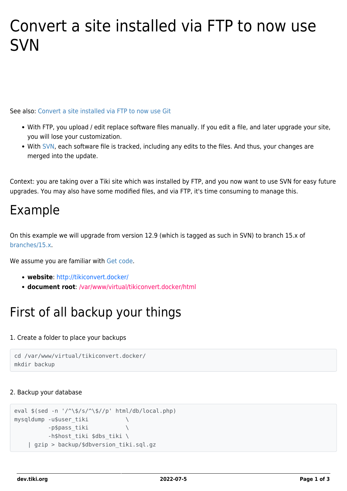# Convert a site installed via FTP to now use SVN

See also: [Convert a site installed via FTP to now use Git](https://dev.tiki.org/Convert-a-site-installed-via-FTP-to-now-use-Git)

- With FTP, you upload / edit replace software files manually. If you edit a file, and later upgrade your site, you will lose your customization.
- With [SVN](https://en.m.wikipedia.org/wiki/Apache_Subversion), each software file is tracked, including any edits to the files. And thus, your changes are merged into the update.

Context: you are taking over a Tiki site which was installed by FTP, and you now want to use SVN for easy future upgrades. You may also have some modified files, and via FTP, it's time consuming to manage this.

### Example

On this example we will upgrade from version 12.9 (which is tagged as such in SVN) to branch 15.x of [branches/15.x.](http://svn.code.sf.net/p/tikiwiki/code/branches/15.x/)

We assume you are familiar with [Get code.](https://dev.tiki.org/Get-code)

- **website**: http://tikiconvert.docker/
- **document root**: /var/www/virtual/tikiconvert.docker/html

## First of all backup your things

#### 1. Create a folder to place your backups

```
cd /var/www/virtual/tikiconvert.docker/
mkdir backup
```
#### 2. Backup your database

```
eval $(\text{sed -n }'/\{\$/s/\}\)/p' html/db/local.php)
mysqldump -u$user tiki \
         -p$pass_tiki \
         -h$host tiki $dbs tiki \
    | gzip > backup/$dbversion_tiki.sql.gz
```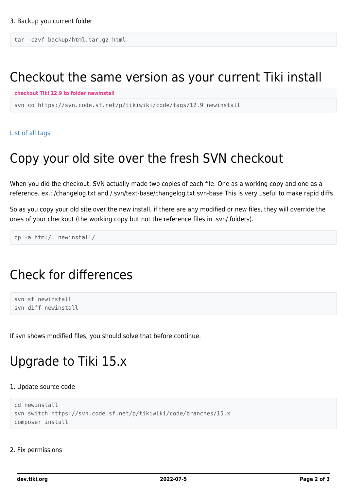tar -czvf backup/html.tar.gz html

#### Checkout the same version as your current Tiki install

**checkout Tiki 12.9 to folder newinstall**

svn co https://svn.code.sf.net/p/tikiwiki/code/tags/12.9 newinstall

[List of all tags](https://svn.code.sf.net/p/tikiwiki/code/tags/)

### Copy your old site over the fresh SVN checkout

When you did the checkout, SVN actually made two copies of each file. One as a working copy and one as a reference. ex.: /changelog.txt and /.svn/text-base/changelog.txt.svn-base This is very useful to make rapid diffs.

So as you copy your old site over the new install, if there are any modified or new files, they will override the ones of your checkout (the working copy but not the reference files in .svn/ folders).

cp -a html/. newinstall/

### Check for differences

svn st newinstall svn diff newinstall

If svn shows modified files, you should solve that before continue.

# Upgrade to Tiki 15.x

#### 1. Update source code

```
cd newinstall
svn switch https://svn.code.sf.net/p/tikiwiki/code/branches/15.x
composer install
```
#### 2. Fix permissions